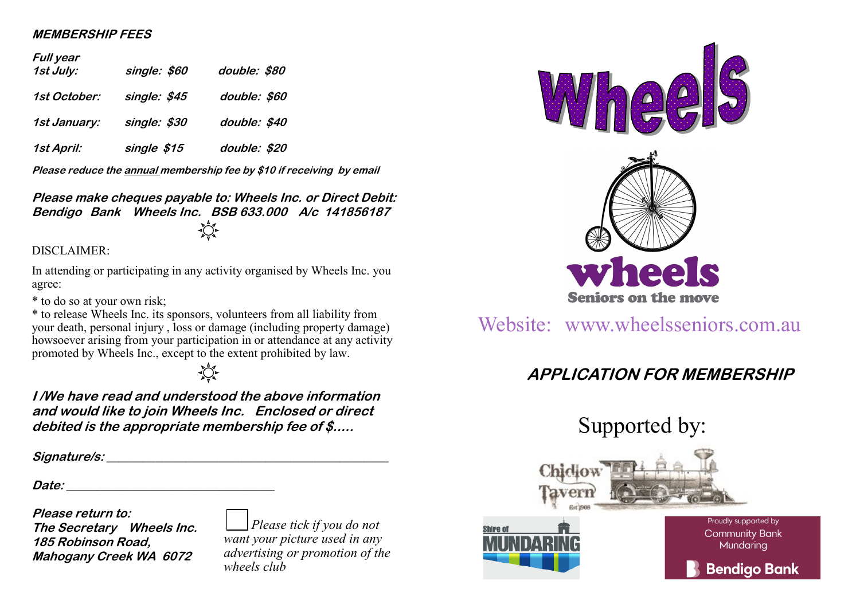## **MEMBERSHIP FEES**

## **Full year**

| , .,, , ,<br>1st July: | single: \$60 | double: \$80 |
|------------------------|--------------|--------------|
| 1st October:           | single: \$45 | double: \$60 |
| 1st January:           | single: \$30 | double: \$40 |
| 1st April:             | single \$15  | double: \$20 |

**Please reduce the annual membership fee by \$10 if receiving by email**

**Please make cheques payable to: Wheels Inc. or Direct Debit: Bendigo Bank Wheels Inc. BSB 633.000 A/c 141856187**

DISCLAIMER:

In attending or participating in any activity organised by Wheels Inc. you agree:

\* to do so at your own risk;

\* to release Wheels Inc. its sponsors, volunteers from all liability from your death, personal injury , loss or damage (including property damage) howsoever arising from your participation in or attendance at any activity promoted by Wheels Inc., except to the extent prohibited by law.

**I /We have read and understood the above information and would like to join Wheels Inc. Enclosed or direct debited is the appropriate membership fee of \$.....**

**Signature/s:** 

**Date: \_\_\_\_\_\_\_\_\_\_\_\_\_\_\_\_\_\_\_\_\_\_\_\_\_\_\_\_\_\_\_\_\_\_**

**Please return to: The Secretary Wheels Inc. 185 Robinson Road, Mahogany Creek WA 6072**

*Please tick if you do not want your picture used in any advertising or promotion of the wheels club*



## Website: www.wheelsseniors.com.au

## **APPLICATION FOR MEMBERSHIP**